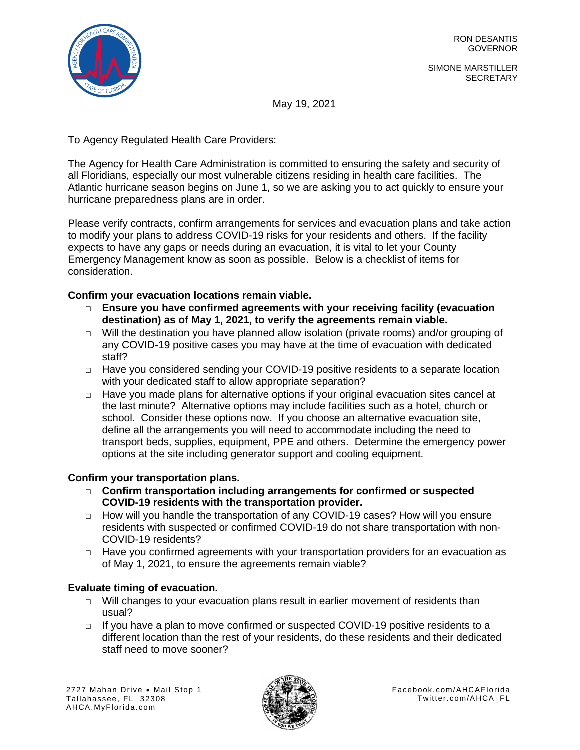

SIMONE MARSTILLER **SECRETARY** 

May 19, 2021

To Agency Regulated Health Care Providers:

The Agency for Health Care Administration is committed to ensuring the safety and security of all Floridians, especially our most vulnerable citizens residing in health care facilities. The Atlantic hurricane season begins on June 1, so we are asking you to act quickly to ensure your hurricane preparedness plans are in order.

Please verify contracts, confirm arrangements for services and evacuation plans and take action to modify your plans to address COVID-19 risks for your residents and others. If the facility expects to have any gaps or needs during an evacuation, it is vital to let your County Emergency Management know as soon as possible. Below is a checklist of items for consideration.

**Confirm your evacuation locations remain viable.**

- □ **Ensure you have confirmed agreements with your receiving facility (evacuation destination) as of May 1, 2021, to verify the agreements remain viable.**
- $\Box$  Will the destination you have planned allow isolation (private rooms) and/or grouping of any COVID-19 positive cases you may have at the time of evacuation with dedicated staff?
- □ Have you considered sending your COVID-19 positive residents to a separate location with your dedicated staff to allow appropriate separation?
- $\Box$  Have you made plans for alternative options if your original evacuation sites cancel at the last minute? Alternative options may include facilities such as a hotel, church or school. Consider these options now. If you choose an alternative evacuation site, define all the arrangements you will need to accommodate including the need to transport beds, supplies, equipment, PPE and others. Determine the emergency power options at the site including generator support and cooling equipment.

## **Confirm your transportation plans.**

- □ **Confirm transportation including arrangements for confirmed or suspected COVID-19 residents with the transportation provider.**
- □ How will you handle the transportation of any COVID-19 cases? How will you ensure residents with suspected or confirmed COVID-19 do not share transportation with non-COVID-19 residents?
- $\Box$  Have you confirmed agreements with your transportation providers for an evacuation as of May 1, 2021, to ensure the agreements remain viable?

# **Evaluate timing of evacuation.**

- $\Box$  Will changes to your evacuation plans result in earlier movement of residents than usual?
- $\Box$  If you have a plan to move confirmed or suspected COVID-19 positive residents to a different location than the rest of your residents, do these residents and their dedicated staff need to move sooner?

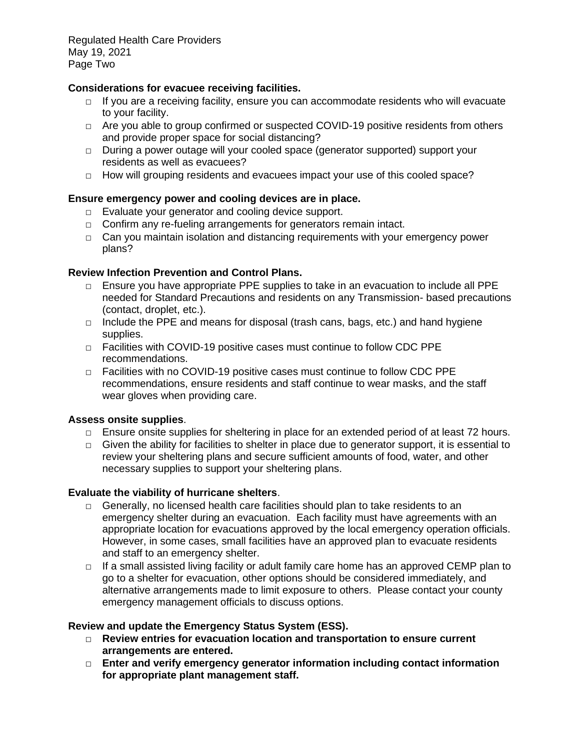Regulated Health Care Providers May 19, 2021 Page Two

## **Considerations for evacuee receiving facilities.**

- $\Box$  If you are a receiving facility, ensure you can accommodate residents who will evacuate to your facility.
- □ Are you able to group confirmed or suspected COVID-19 positive residents from others and provide proper space for social distancing?
- $\Box$  During a power outage will your cooled space (generator supported) support your residents as well as evacuees?
- $\Box$  How will grouping residents and evacuees impact your use of this cooled space?

## **Ensure emergency power and cooling devices are in place.**

- □ Evaluate your generator and cooling device support.
- □ Confirm any re-fueling arrangements for generators remain intact.
- $\Box$  Can you maintain isolation and distancing requirements with your emergency power plans?

### **Review Infection Prevention and Control Plans.**

- $\Box$  Ensure you have appropriate PPE supplies to take in an evacuation to include all PPE needed for Standard Precautions and residents on any Transmission- based precautions (contact, droplet, etc.).
- $\Box$  Include the PPE and means for disposal (trash cans, bags, etc.) and hand hygiene supplies.
- $\Box$  Facilities with COVID-19 positive cases must continue to follow CDC PPE recommendations.
- $\Box$  Facilities with no COVID-19 positive cases must continue to follow CDC PPE recommendations, ensure residents and staff continue to wear masks, and the staff wear gloves when providing care.

#### **Assess onsite supplies**.

- $\Box$  Ensure onsite supplies for sheltering in place for an extended period of at least 72 hours.
- $\Box$  Given the ability for facilities to shelter in place due to generator support, it is essential to review your sheltering plans and secure sufficient amounts of food, water, and other necessary supplies to support your sheltering plans.

#### **Evaluate the viability of hurricane shelters**.

- □ Generally, no licensed health care facilities should plan to take residents to an emergency shelter during an evacuation. Each facility must have agreements with an appropriate location for evacuations approved by the local emergency operation officials. However, in some cases, small facilities have an approved plan to evacuate residents and staff to an emergency shelter.
- $\Box$  If a small assisted living facility or adult family care home has an approved CEMP plan to go to a shelter for evacuation, other options should be considered immediately, and alternative arrangements made to limit exposure to others. Please contact your county emergency management officials to discuss options.

#### **Review and update the Emergency Status System (ESS).**

- □ **Review entries for evacuation location and transportation to ensure current arrangements are entered.**
- □ **Enter and verify emergency generator information including contact information for appropriate plant management staff.**